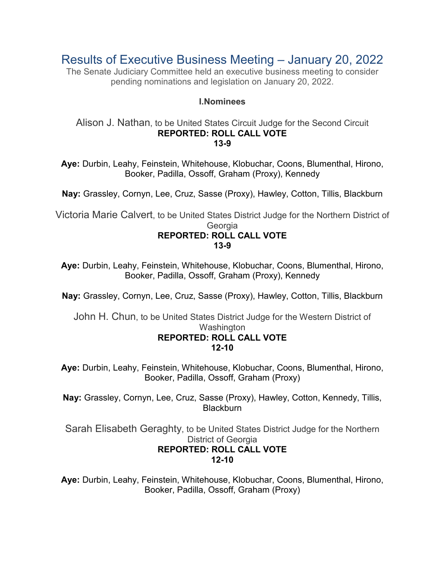Results of Executive Business Meeting – January 20, 2022

The Senate Judiciary Committee held an executive business meeting to consider pending nominations and legislation on January 20, 2022.

# **I.Nominees**

#### Alison J. Nathan, to be United States Circuit Judge for the Second Circuit **REPORTED: ROLL CALL VOTE 13-9**

**Aye:** Durbin, Leahy, Feinstein, Whitehouse, Klobuchar, Coons, Blumenthal, Hirono, Booker, Padilla, Ossoff, Graham (Proxy), Kennedy

**Nay:** Grassley, Cornyn, Lee, Cruz, Sasse (Proxy), Hawley, Cotton, Tillis, Blackburn

Victoria Marie Calvert, to be United States District Judge for the Northern District of **Georgia** 

# **REPORTED: ROLL CALL VOTE 13-9**

**Aye:** Durbin, Leahy, Feinstein, Whitehouse, Klobuchar, Coons, Blumenthal, Hirono, Booker, Padilla, Ossoff, Graham (Proxy), Kennedy

**Nay:** Grassley, Cornyn, Lee, Cruz, Sasse (Proxy), Hawley, Cotton, Tillis, Blackburn

John H. Chun, to be United States District Judge for the Western District of Washington **REPORTED: ROLL CALL VOTE 12-10**

**Aye:** Durbin, Leahy, Feinstein, Whitehouse, Klobuchar, Coons, Blumenthal, Hirono, Booker, Padilla, Ossoff, Graham (Proxy)

**Nay:** Grassley, Cornyn, Lee, Cruz, Sasse (Proxy), Hawley, Cotton, Kennedy, Tillis, **Blackburn** 

Sarah Elisabeth Geraghty, to be United States District Judge for the Northern District of Georgia **REPORTED: ROLL CALL VOTE 12-10**

**Aye:** Durbin, Leahy, Feinstein, Whitehouse, Klobuchar, Coons, Blumenthal, Hirono, Booker, Padilla, Ossoff, Graham (Proxy)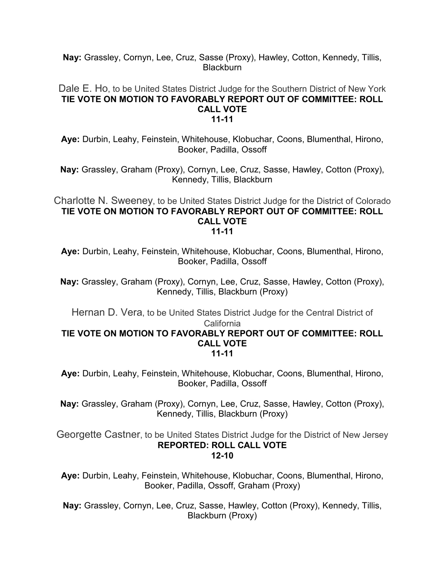**Nay:** Grassley, Cornyn, Lee, Cruz, Sasse (Proxy), Hawley, Cotton, Kennedy, Tillis, **Blackburn** 

#### Dale E. Ho, to be United States District Judge for the Southern District of New York **TIE VOTE ON MOTION TO FAVORABLY REPORT OUT OF COMMITTEE: ROLL CALL VOTE 11-11**

**Aye:** Durbin, Leahy, Feinstein, Whitehouse, Klobuchar, Coons, Blumenthal, Hirono, Booker, Padilla, Ossoff

**Nay:** Grassley, Graham (Proxy), Cornyn, Lee, Cruz, Sasse, Hawley, Cotton (Proxy), Kennedy, Tillis, Blackburn

#### Charlotte N. Sweeney, to be United States District Judge for the District of Colorado **TIE VOTE ON MOTION TO FAVORABLY REPORT OUT OF COMMITTEE: ROLL CALL VOTE 11-11**

**Aye:** Durbin, Leahy, Feinstein, Whitehouse, Klobuchar, Coons, Blumenthal, Hirono, Booker, Padilla, Ossoff

**Nay:** Grassley, Graham (Proxy), Cornyn, Lee, Cruz, Sasse, Hawley, Cotton (Proxy), Kennedy, Tillis, Blackburn (Proxy)

Hernan D. Vera, to be United States District Judge for the Central District of California

#### **TIE VOTE ON MOTION TO FAVORABLY REPORT OUT OF COMMITTEE: ROLL CALL VOTE 11-11**

**Aye:** Durbin, Leahy, Feinstein, Whitehouse, Klobuchar, Coons, Blumenthal, Hirono, Booker, Padilla, Ossoff

**Nay:** Grassley, Graham (Proxy), Cornyn, Lee, Cruz, Sasse, Hawley, Cotton (Proxy), Kennedy, Tillis, Blackburn (Proxy)

Georgette Castner, to be United States District Judge for the District of New Jersey **REPORTED: ROLL CALL VOTE 12-10**

**Aye:** Durbin, Leahy, Feinstein, Whitehouse, Klobuchar, Coons, Blumenthal, Hirono, Booker, Padilla, Ossoff, Graham (Proxy)

**Nay:** Grassley, Cornyn, Lee, Cruz, Sasse, Hawley, Cotton (Proxy), Kennedy, Tillis, Blackburn (Proxy)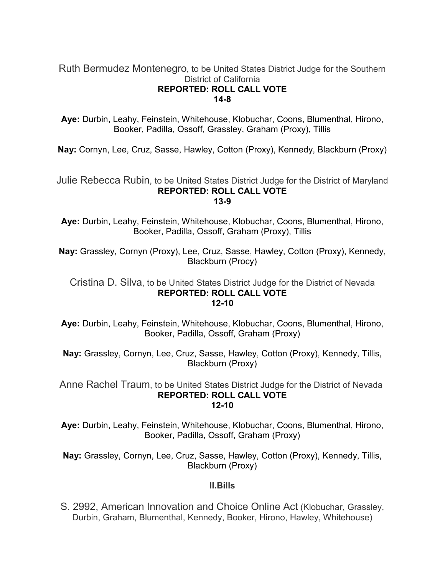# Ruth Bermudez Montenegro, to be United States District Judge for the Southern District of California **REPORTED: ROLL CALL VOTE 14-8**

**Aye:** Durbin, Leahy, Feinstein, Whitehouse, Klobuchar, Coons, Blumenthal, Hirono, Booker, Padilla, Ossoff, Grassley, Graham (Proxy), Tillis

**Nay:** Cornyn, Lee, Cruz, Sasse, Hawley, Cotton (Proxy), Kennedy, Blackburn (Proxy)

Julie Rebecca Rubin, to be United States District Judge for the District of Maryland **REPORTED: ROLL CALL VOTE 13-9**

**Aye:** Durbin, Leahy, Feinstein, Whitehouse, Klobuchar, Coons, Blumenthal, Hirono, Booker, Padilla, Ossoff, Graham (Proxy), Tillis

**Nay:** Grassley, Cornyn (Proxy), Lee, Cruz, Sasse, Hawley, Cotton (Proxy), Kennedy, Blackburn (Procy)

# Cristina D. Silva, to be United States District Judge for the District of Nevada **REPORTED: ROLL CALL VOTE 12-10**

**Aye:** Durbin, Leahy, Feinstein, Whitehouse, Klobuchar, Coons, Blumenthal, Hirono, Booker, Padilla, Ossoff, Graham (Proxy)

**Nay:** Grassley, Cornyn, Lee, Cruz, Sasse, Hawley, Cotton (Proxy), Kennedy, Tillis, Blackburn (Proxy)

Anne Rachel Traum, to be United States District Judge for the District of Nevada **REPORTED: ROLL CALL VOTE 12-10**

**Aye:** Durbin, Leahy, Feinstein, Whitehouse, Klobuchar, Coons, Blumenthal, Hirono, Booker, Padilla, Ossoff, Graham (Proxy)

**Nay:** Grassley, Cornyn, Lee, Cruz, Sasse, Hawley, Cotton (Proxy), Kennedy, Tillis, Blackburn (Proxy)

# **II.Bills**

S. 2992, American Innovation and Choice Online Act (Klobuchar, Grassley, Durbin, Graham, Blumenthal, Kennedy, Booker, Hirono, Hawley, Whitehouse)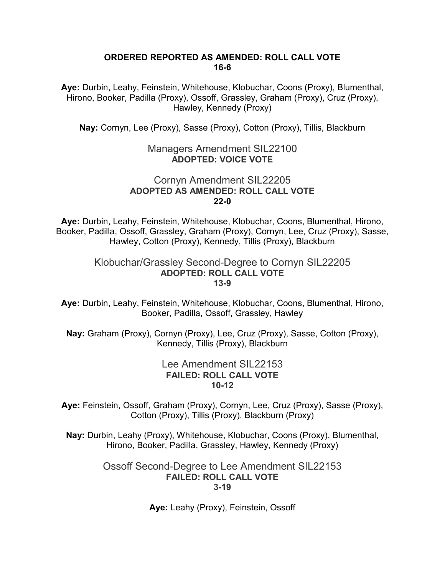#### **ORDERED REPORTED AS AMENDED: ROLL CALL VOTE 16-6**

**Aye:** Durbin, Leahy, Feinstein, Whitehouse, Klobuchar, Coons (Proxy), Blumenthal, Hirono, Booker, Padilla (Proxy), Ossoff, Grassley, Graham (Proxy), Cruz (Proxy), Hawley, Kennedy (Proxy)

**Nay:** Cornyn, Lee (Proxy), Sasse (Proxy), Cotton (Proxy), Tillis, Blackburn

# Managers Amendment SIL22100 **ADOPTED: VOICE VOTE**

# Cornyn Amendment SIL22205 **ADOPTED AS AMENDED: ROLL CALL VOTE 22-0**

**Aye:** Durbin, Leahy, Feinstein, Whitehouse, Klobuchar, Coons, Blumenthal, Hirono, Booker, Padilla, Ossoff, Grassley, Graham (Proxy), Cornyn, Lee, Cruz (Proxy), Sasse, Hawley, Cotton (Proxy), Kennedy, Tillis (Proxy), Blackburn

#### Klobuchar/Grassley Second-Degree to Cornyn SIL22205 **ADOPTED: ROLL CALL VOTE 13-9**

**Aye:** Durbin, Leahy, Feinstein, Whitehouse, Klobuchar, Coons, Blumenthal, Hirono, Booker, Padilla, Ossoff, Grassley, Hawley

**Nay:** Graham (Proxy), Cornyn (Proxy), Lee, Cruz (Proxy), Sasse, Cotton (Proxy), Kennedy, Tillis (Proxy), Blackburn

# Lee Amendment SIL22153 **FAILED: ROLL CALL VOTE 10-12**

**Aye:** Feinstein, Ossoff, Graham (Proxy), Cornyn, Lee, Cruz (Proxy), Sasse (Proxy), Cotton (Proxy), Tillis (Proxy), Blackburn (Proxy)

**Nay:** Durbin, Leahy (Proxy), Whitehouse, Klobuchar, Coons (Proxy), Blumenthal, Hirono, Booker, Padilla, Grassley, Hawley, Kennedy (Proxy)

> Ossoff Second-Degree to Lee Amendment SIL22153 **FAILED: ROLL CALL VOTE 3-19**

> > **Aye:** Leahy (Proxy), Feinstein, Ossoff